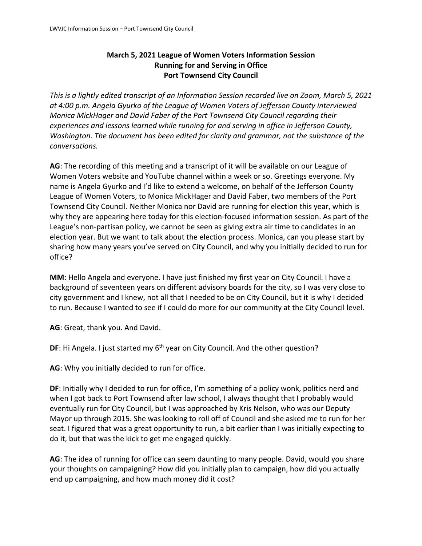## **March 5, 2021 League of Women Voters Information Session Running for and Serving in Office Port Townsend City Council**

*This is a lightly edited transcript of an Information Session recorded live on Zoom, March 5, 2021 at 4:00 p.m. Angela Gyurko of the League of Women Voters of Jefferson County interviewed Monica MickHager and David Faber of the Port Townsend City Council regarding their experiences and lessons learned while running for and serving in office in Jefferson County, Washington. The document has been edited for clarity and grammar, not the substance of the conversations.* 

**AG**: The recording of this meeting and a transcript of it will be available on our League of Women Voters website and YouTube channel within a week or so. Greetings everyone. My name is Angela Gyurko and I'd like to extend a welcome, on behalf of the Jefferson County League of Women Voters, to Monica MickHager and David Faber, two members of the Port Townsend City Council. Neither Monica nor David are running for election this year, which is why they are appearing here today for this election-focused information session. As part of the League's non-partisan policy, we cannot be seen as giving extra air time to candidates in an election year. But we want to talk about the election process. Monica, can you please start by sharing how many years you've served on City Council, and why you initially decided to run for office?

**MM**: Hello Angela and everyone. I have just finished my first year on City Council. I have a background of seventeen years on different advisory boards for the city, so I was very close to city government and I knew, not all that I needed to be on City Council, but it is why I decided to run. Because I wanted to see if I could do more for our community at the City Council level.

**AG**: Great, thank you. And David.

**DF:** Hi Angela. I just started my 6<sup>th</sup> year on City Council. And the other question?

**AG**: Why you initially decided to run for office.

DF: Initially why I decided to run for office, I'm something of a policy wonk, politics nerd and when I got back to Port Townsend after law school, I always thought that I probably would eventually run for City Council, but I was approached by Kris Nelson, who was our Deputy Mayor up through 2015. She was looking to roll off of Council and she asked me to run for her seat. I figured that was a great opportunity to run, a bit earlier than I was initially expecting to do it, but that was the kick to get me engaged quickly.

**AG**: The idea of running for office can seem daunting to many people. David, would you share your thoughts on campaigning? How did you initially plan to campaign, how did you actually end up campaigning, and how much money did it cost?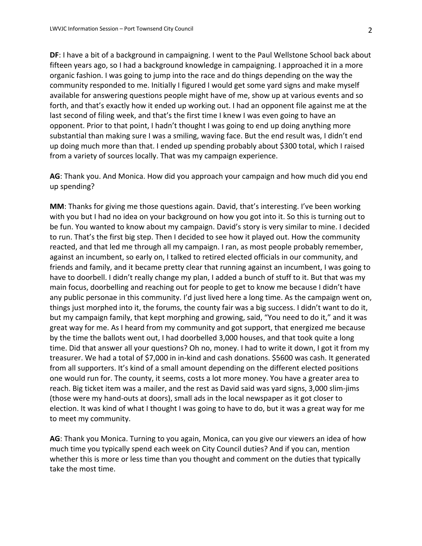**DF**: I have a bit of a background in campaigning. I went to the Paul Wellstone School back about fifteen years ago, so I had a background knowledge in campaigning. I approached it in a more organic fashion. I was going to jump into the race and do things depending on the way the community responded to me. Initially I figured I would get some yard signs and make myself available for answering questions people might have of me, show up at various events and so forth, and that's exactly how it ended up working out. I had an opponent file against me at the last second of filing week, and that's the first time I knew I was even going to have an opponent. Prior to that point, I hadn't thought I was going to end up doing anything more substantial than making sure I was a smiling, waving face. But the end result was, I didn't end up doing much more than that. I ended up spending probably about \$300 total, which I raised from a variety of sources locally. That was my campaign experience.

**AG**: Thank you. And Monica. How did you approach your campaign and how much did you end up spending?

**MM**: Thanks for giving me those questions again. David, that's interesting. I've been working with you but I had no idea on your background on how you got into it. So this is turning out to be fun. You wanted to know about my campaign. David's story is very similar to mine. I decided to run. That's the first big step. Then I decided to see how it played out. How the community reacted, and that led me through all my campaign. I ran, as most people probably remember, against an incumbent, so early on, I talked to retired elected officials in our community, and friends and family, and it became pretty clear that running against an incumbent, I was going to have to doorbell. I didn't really change my plan, I added a bunch of stuff to it. But that was my main focus, doorbelling and reaching out for people to get to know me because I didn't have any public personae in this community. I'd just lived here a long time. As the campaign went on, things just morphed into it, the forums, the county fair was a big success. I didn't want to do it, but my campaign family, that kept morphing and growing, said, "You need to do it," and it was great way for me. As I heard from my community and got support, that energized me because by the time the ballots went out, I had doorbelled 3,000 houses, and that took quite a long time. Did that answer all your questions? Oh no, money. I had to write it down, I got it from my treasurer. We had a total of \$7,000 in in-kind and cash donations. \$5600 was cash. It generated from all supporters. It's kind of a small amount depending on the different elected positions one would run for. The county, it seems, costs a lot more money. You have a greater area to reach. Big ticket item was a mailer, and the rest as David said was yard signs, 3,000 slim-jims (those were my hand-outs at doors), small ads in the local newspaper as it got closer to election. It was kind of what I thought I was going to have to do, but it was a great way for me to meet my community.

**AG**: Thank you Monica. Turning to you again, Monica, can you give our viewers an idea of how much time you typically spend each week on City Council duties? And if you can, mention whether this is more or less time than you thought and comment on the duties that typically take the most time.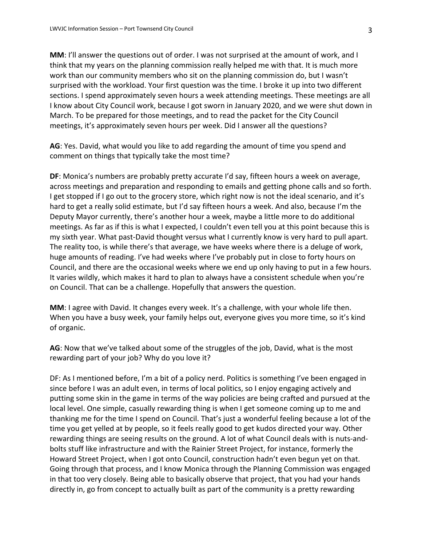**MM**: I'll answer the questions out of order. I was not surprised at the amount of work, and I think that my years on the planning commission really helped me with that. It is much more work than our community members who sit on the planning commission do, but I wasn't surprised with the workload. Your first question was the time. I broke it up into two different sections. I spend approximately seven hours a week attending meetings. These meetings are all I know about City Council work, because I got sworn in January 2020, and we were shut down in March. To be prepared for those meetings, and to read the packet for the City Council meetings, it's approximately seven hours per week. Did I answer all the questions?

**AG**: Yes. David, what would you like to add regarding the amount of time you spend and comment on things that typically take the most time?

**DF**: Monica's numbers are probably pretty accurate I'd say, fifteen hours a week on average, across meetings and preparation and responding to emails and getting phone calls and so forth. I get stopped if I go out to the grocery store, which right now is not the ideal scenario, and it's hard to get a really solid estimate, but I'd say fifteen hours a week. And also, because I'm the Deputy Mayor currently, there's another hour a week, maybe a little more to do additional meetings. As far as if this is what I expected, I couldn't even tell you at this point because this is my sixth year. What past-David thought versus what I currently know is very hard to pull apart. The reality too, is while there's that average, we have weeks where there is a deluge of work, huge amounts of reading. I've had weeks where I've probably put in close to forty hours on Council, and there are the occasional weeks where we end up only having to put in a few hours. It varies wildly, which makes it hard to plan to always have a consistent schedule when you're on Council. That can be a challenge. Hopefully that answers the question.

**MM**: I agree with David. It changes every week. It's a challenge, with your whole life then. When you have a busy week, your family helps out, everyone gives you more time, so it's kind of organic.

**AG**: Now that we've talked about some of the struggles of the job, David, what is the most rewarding part of your job? Why do you love it?

DF: As I mentioned before, I'm a bit of a policy nerd. Politics is something I've been engaged in since before I was an adult even, in terms of local politics, so I enjoy engaging actively and putting some skin in the game in terms of the way policies are being crafted and pursued at the local level. One simple, casually rewarding thing is when I get someone coming up to me and thanking me for the time I spend on Council. That's just a wonderful feeling because a lot of the time you get yelled at by people, so it feels really good to get kudos directed your way. Other rewarding things are seeing results on the ground. A lot of what Council deals with is nuts-andbolts stuff like infrastructure and with the Rainier Street Project, for instance, formerly the Howard Street Project, when I got onto Council, construction hadn't even begun yet on that. Going through that process, and I know Monica through the Planning Commission was engaged in that too very closely. Being able to basically observe that project, that you had your hands directly in, go from concept to actually built as part of the community is a pretty rewarding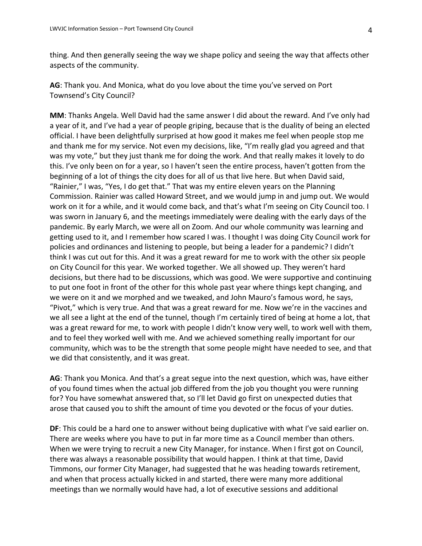thing. And then generally seeing the way we shape policy and seeing the way that affects other aspects of the community.

**AG**: Thank you. And Monica, what do you love about the time you've served on Port Townsend's City Council?

**MM**: Thanks Angela. Well David had the same answer I did about the reward. And I've only had a year of it, and I've had a year of people griping, because that is the duality of being an elected official. I have been delightfully surprised at how good it makes me feel when people stop me and thank me for my service. Not even my decisions, like, "I'm really glad you agreed and that was my vote," but they just thank me for doing the work. And that really makes it lovely to do this. I've only been on for a year, so I haven't seen the entire process, haven't gotten from the beginning of a lot of things the city does for all of us that live here. But when David said, "Rainier," I was, "Yes, I do get that." That was my entire eleven years on the Planning Commission. Rainier was called Howard Street, and we would jump in and jump out. We would work on it for a while, and it would come back, and that's what I'm seeing on City Council too. I was sworn in January 6, and the meetings immediately were dealing with the early days of the pandemic. By early March, we were all on Zoom. And our whole community was learning and getting used to it, and I remember how scared I was. I thought I was doing City Council work for policies and ordinances and listening to people, but being a leader for a pandemic? I didn't think I was cut out for this. And it was a great reward for me to work with the other six people on City Council for this year. We worked together. We all showed up. They weren't hard decisions, but there had to be discussions, which was good. We were supportive and continuing to put one foot in front of the other for this whole past year where things kept changing, and we were on it and we morphed and we tweaked, and John Mauro's famous word, he says, "Pivot," which is very true. And that was a great reward for me. Now we're in the vaccines and we all see a light at the end of the tunnel, though I'm certainly tired of being at home a lot, that was a great reward for me, to work with people I didn't know very well, to work well with them, and to feel they worked well with me. And we achieved something really important for our community, which was to be the strength that some people might have needed to see, and that we did that consistently, and it was great.

**AG**: Thank you Monica. And that's a great segue into the next question, which was, have either of you found times when the actual job differed from the job you thought you were running for? You have somewhat answered that, so I'll let David go first on unexpected duties that arose that caused you to shift the amount of time you devoted or the focus of your duties.

**DF**: This could be a hard one to answer without being duplicative with what I've said earlier on. There are weeks where you have to put in far more time as a Council member than others. When we were trying to recruit a new City Manager, for instance. When I first got on Council, there was always a reasonable possibility that would happen. I think at that time, David Timmons, our former City Manager, had suggested that he was heading towards retirement, and when that process actually kicked in and started, there were many more additional meetings than we normally would have had, a lot of executive sessions and additional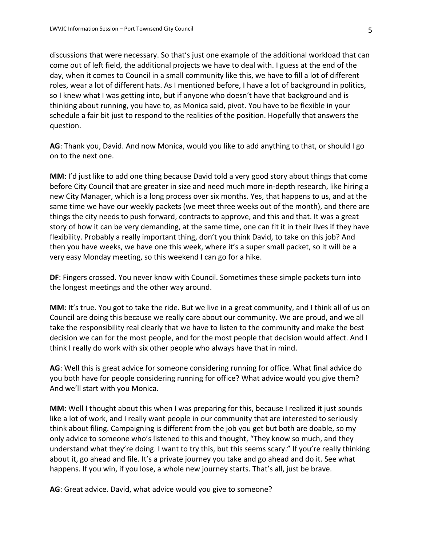discussions that were necessary. So that's just one example of the additional workload that can come out of left field, the additional projects we have to deal with. I guess at the end of the day, when it comes to Council in a small community like this, we have to fill a lot of different roles, wear a lot of different hats. As I mentioned before, I have a lot of background in politics, so I knew what I was getting into, but if anyone who doesn't have that background and is thinking about running, you have to, as Monica said, pivot. You have to be flexible in your schedule a fair bit just to respond to the realities of the position. Hopefully that answers the question.

**AG**: Thank you, David. And now Monica, would you like to add anything to that, or should I go on to the next one.

**MM**: I'd just like to add one thing because David told a very good story about things that come before City Council that are greater in size and need much more in-depth research, like hiring a new City Manager, which is a long process over six months. Yes, that happens to us, and at the same time we have our weekly packets (we meet three weeks out of the month), and there are things the city needs to push forward, contracts to approve, and this and that. It was a great story of how it can be very demanding, at the same time, one can fit it in their lives if they have flexibility. Probably a really important thing, don't you think David, to take on this job? And then you have weeks, we have one this week, where it's a super small packet, so it will be a very easy Monday meeting, so this weekend I can go for a hike.

**DF**: Fingers crossed. You never know with Council. Sometimes these simple packets turn into the longest meetings and the other way around.

**MM**: It's true. You got to take the ride. But we live in a great community, and I think all of us on Council are doing this because we really care about our community. We are proud, and we all take the responsibility real clearly that we have to listen to the community and make the best decision we can for the most people, and for the most people that decision would affect. And I think I really do work with six other people who always have that in mind.

**AG**: Well this is great advice for someone considering running for office. What final advice do you both have for people considering running for office? What advice would you give them? And we'll start with you Monica.

**MM**: Well I thought about this when I was preparing for this, because I realized it just sounds like a lot of work, and I really want people in our community that are interested to seriously think about filing. Campaigning is different from the job you get but both are doable, so my only advice to someone who's listened to this and thought, "They know so much, and they understand what they're doing. I want to try this, but this seems scary." If you're really thinking about it, go ahead and file. It's a private journey you take and go ahead and do it. See what happens. If you win, if you lose, a whole new journey starts. That's all, just be brave.

**AG**: Great advice. David, what advice would you give to someone?